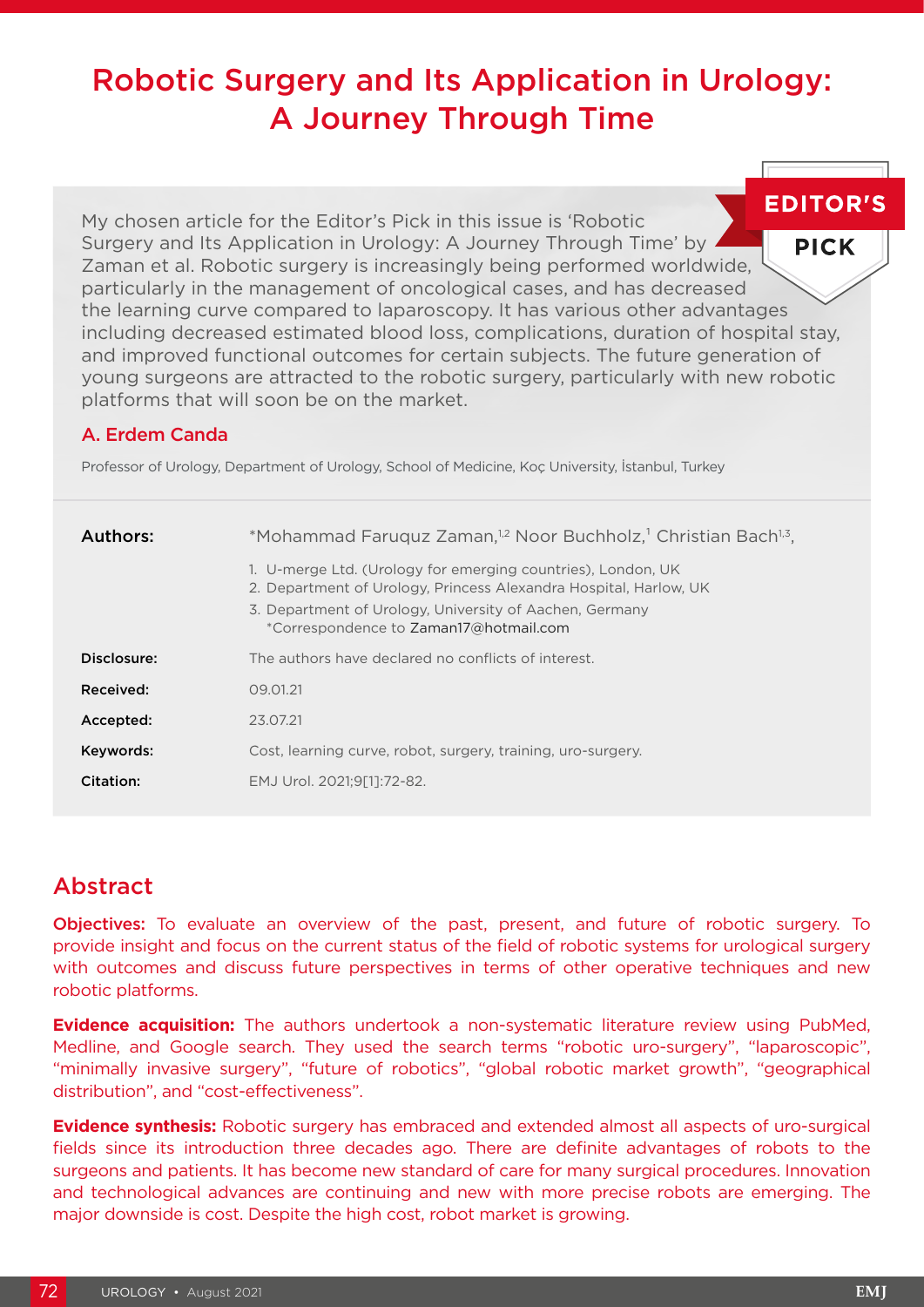# Robotic Surgery and Its Application in Urology: A Journey Through Time

**EDITOR'S** My chosen article for the Editor's Pick in this issue is 'Robotic Surgery and Its Application in Urology: A Journey Through Time' by **PICK** Zaman et al. Robotic surgery is increasingly being performed worldwide, particularly in the management of oncological cases, and has decreased the learning curve compared to laparoscopy. It has various other advantages including decreased estimated blood loss, complications, duration of hospital stay, and improved functional outcomes for certain subjects. The future generation of young surgeons are attracted to the robotic surgery, particularly with new robotic platforms that will soon be on the market.

### A. Erdem Canda

Professor of Urology, Department of Urology, School of Medicine, Koç University, İstanbul, Turkey

| Authors:    | *Mohammad Faruquz Zaman, <sup>1,2</sup> Noor Buchholz, <sup>1</sup> Christian Bach <sup>1,3</sup> ,<br>1. U-merge Ltd. (Urology for emerging countries), London, UK<br>2. Department of Urology, Princess Alexandra Hospital, Harlow, UK<br>3. Department of Urology, University of Aachen, Germany<br>*Correspondence to Zaman17@hotmail.com |
|-------------|-----------------------------------------------------------------------------------------------------------------------------------------------------------------------------------------------------------------------------------------------------------------------------------------------------------------------------------------------|
| Disclosure: | The authors have declared no conflicts of interest.                                                                                                                                                                                                                                                                                           |
| Received:   | 09.01.21                                                                                                                                                                                                                                                                                                                                      |
| Accepted:   | 23.07.21                                                                                                                                                                                                                                                                                                                                      |
| Keywords:   | Cost, learning curve, robot, surgery, training, uro-surgery.                                                                                                                                                                                                                                                                                  |
| Citation:   | EMJ Urol. 2021:9[11:72-82.                                                                                                                                                                                                                                                                                                                    |

# Abstract

Objectives: To evaluate an overview of the past, present, and future of robotic surgery. To provide insight and focus on the current status of the field of robotic systems for urological surgery with outcomes and discuss future perspectives in terms of other operative techniques and new robotic platforms.

**Evidence acquisition:** The authors undertook a non-systematic literature review using PubMed, Medline, and Google search. They used the search terms "robotic uro-surgery", "laparoscopic", "minimally invasive surgery", "future of robotics", "global robotic market growth", "geographical distribution", and "cost-effectiveness".

**Evidence synthesis:** Robotic surgery has embraced and extended almost all aspects of uro-surgical fields since its introduction three decades ago. There are definite advantages of robots to the surgeons and patients. It has become new standard of care for many surgical procedures. Innovation and technological advances are continuing and new with more precise robots are emerging. The major downside is cost. Despite the high cost, robot market is growing.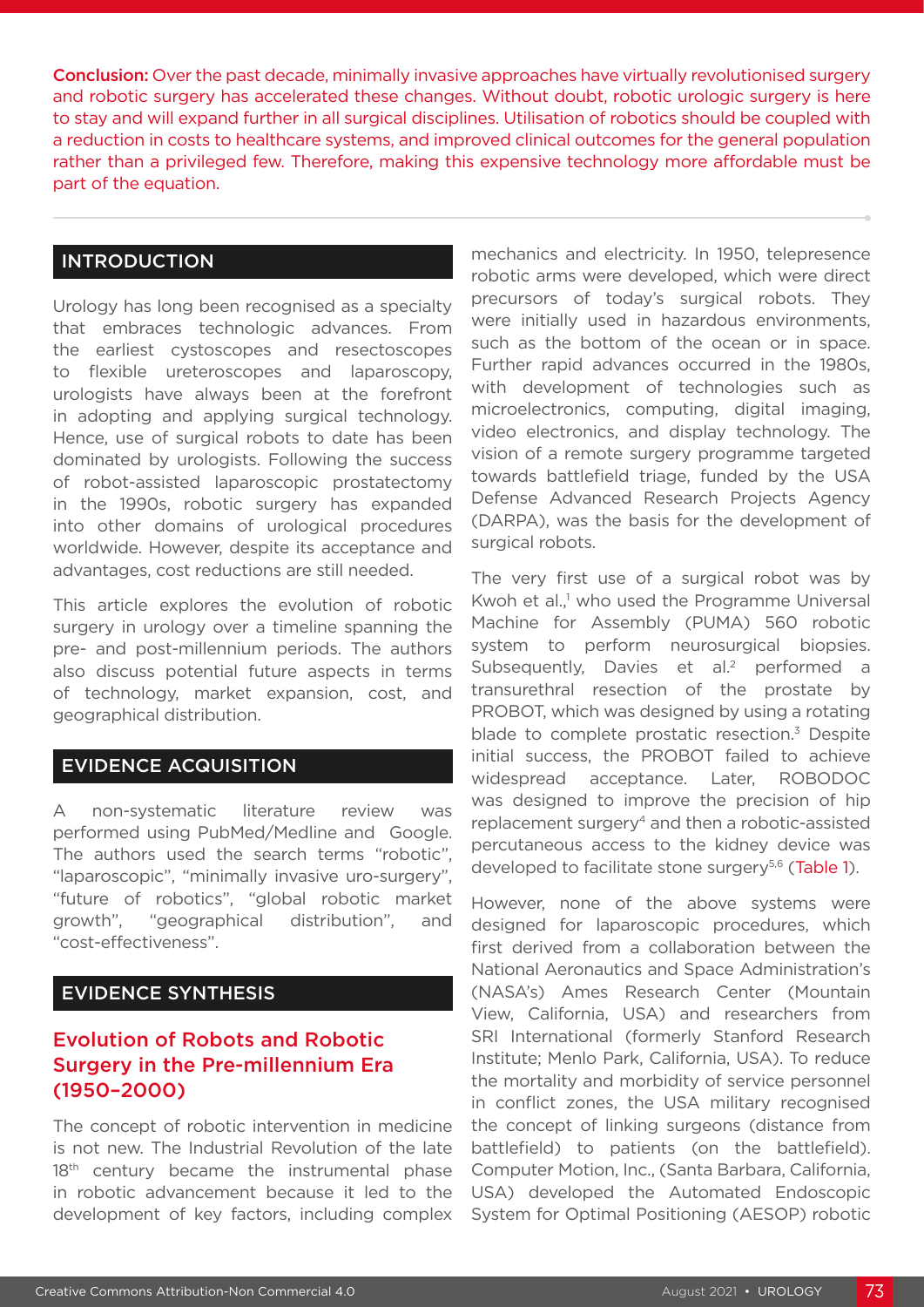Conclusion: Over the past decade, minimally invasive approaches have virtually revolutionised surgery and robotic surgery has accelerated these changes. Without doubt, robotic urologic surgery is here to stay and will expand further in all surgical disciplines. Utilisation of robotics should be coupled with a reduction in costs to healthcare systems, and improved clinical outcomes for the general population rather than a privileged few. Therefore, making this expensive technology more affordable must be part of the equation.

### INTRODUCTION

Urology has long been recognised as a specialty that embraces technologic advances. From the earliest cystoscopes and resectoscopes to flexible ureteroscopes and laparoscopy, urologists have always been at the forefront in adopting and applying surgical technology. Hence, use of surgical robots to date has been dominated by urologists. Following the success of robot-assisted laparoscopic prostatectomy in the 1990s, robotic surgery has expanded into other domains of urological procedures worldwide. However, despite its acceptance and advantages, cost reductions are still needed.

This article explores the evolution of robotic surgery in urology over a timeline spanning the pre- and post-millennium periods. The authors also discuss potential future aspects in terms of technology, market expansion, cost, and geographical distribution.

# EVIDENCE ACQUISITION

A non-systematic literature review was performed using PubMed/Medline and Google. The authors used the search terms "robotic", "laparoscopic", "minimally invasive uro-surgery", "future of robotics", "global robotic market growth", "geographical distribution", and "cost-effectiveness".

### EVIDENCE SYNTHESIS

# Evolution of Robots and Robotic Surgery in the Pre-millennium Era (1950–2000)

The concept of robotic intervention in medicine is not new. The Industrial Revolution of the late 18<sup>th</sup> century became the instrumental phase in robotic advancement because it led to the development of key factors, including complex mechanics and electricity. In 1950, telepresence robotic arms were developed, which were direct precursors of today's surgical robots. They were initially used in hazardous environments, such as the bottom of the ocean or in space. Further rapid advances occurred in the 1980s, with development of technologies such as microelectronics, computing, digital imaging, video electronics, and display technology. The vision of a remote surgery programme targeted towards battlefield triage, funded by the USA Defense Advanced Research Projects Agency (DARPA), was the basis for the development of surgical robots.

The very first use of a surgical robot was by Kwoh et al.,<sup>1</sup> who used the Programme Universal Machine for Assembly (PUMA) 560 robotic system to perform neurosurgical biopsies. Subsequently, Davies et al.<sup>2</sup> performed a transurethral resection of the prostate by PROBOT, which was designed by using a rotating blade to complete prostatic resection. $3$  Despite initial success, the PROBOT failed to achieve widespread acceptance. Later, ROBODOC was designed to improve the precision of hip replacement surgery<sup>4</sup> and then a robotic-assisted percutaneous access to the kidney device was developed to facilitate stone surgery<sup>5,6</sup> (Table 1).

However, none of the above systems were designed for laparoscopic procedures, which first derived from a collaboration between the National Aeronautics and Space Administration's (NASA's) Ames Research Center (Mountain View, California, USA) and researchers from SRI International (formerly Stanford Research Institute; Menlo Park, California, USA). To reduce the mortality and morbidity of service personnel in conflict zones, the USA military recognised the concept of linking surgeons (distance from battlefield) to patients (on the battlefield). Computer Motion, Inc., (Santa Barbara, California, USA) developed the Automated Endoscopic System for Optimal Positioning (AESOP) robotic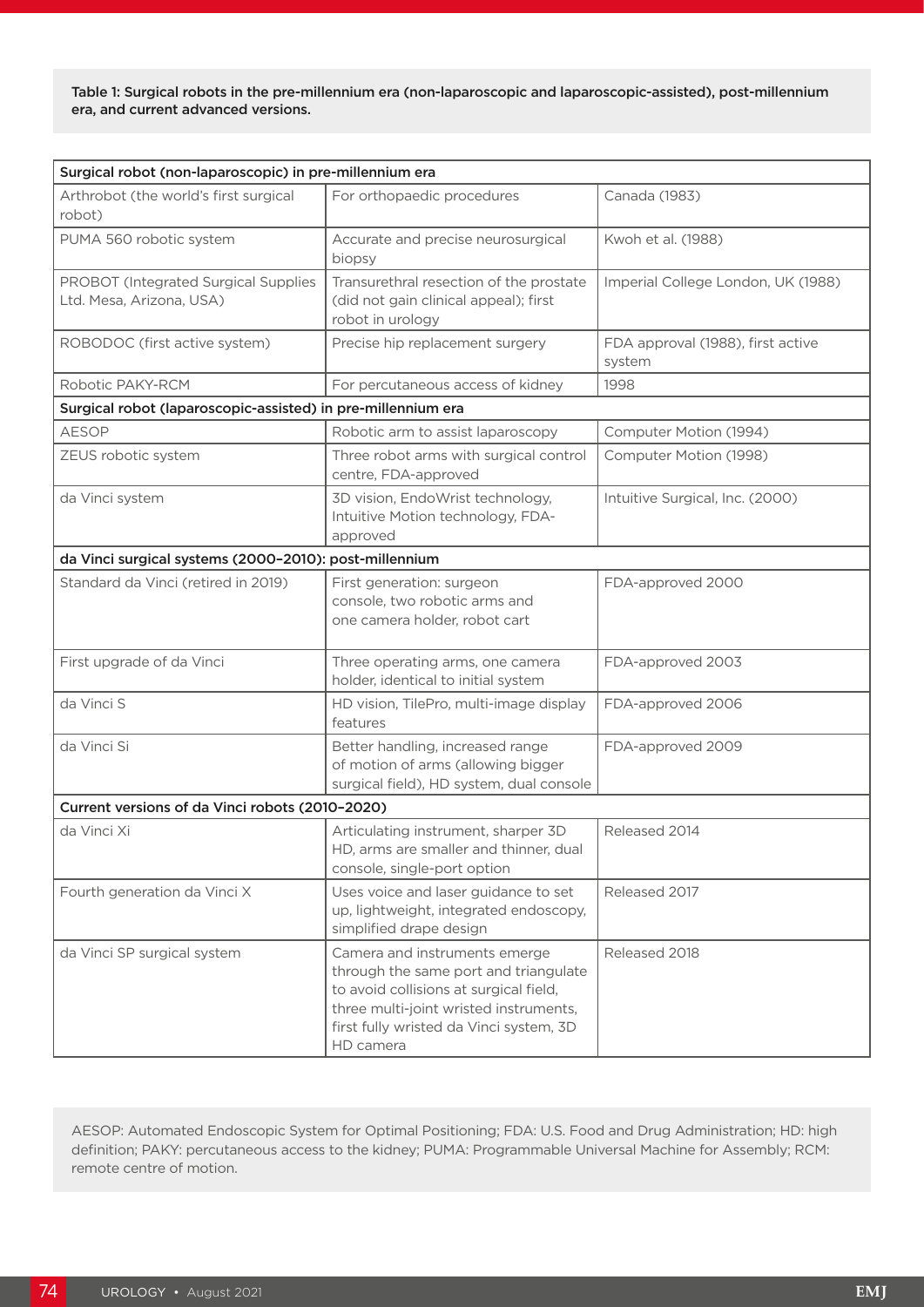Table 1: Surgical robots in the pre-millennium era (non-laparoscopic and laparoscopic-assisted), post-millennium era, and current advanced versions.

| Surgical robot (non-laparoscopic) in pre-millennium era          |                                                                                                                                                                                                                    |                                             |  |  |  |  |
|------------------------------------------------------------------|--------------------------------------------------------------------------------------------------------------------------------------------------------------------------------------------------------------------|---------------------------------------------|--|--|--|--|
| Arthrobot (the world's first surgical<br>robot)                  | For orthopaedic procedures                                                                                                                                                                                         | Canada (1983)                               |  |  |  |  |
| PUMA 560 robotic system                                          | Accurate and precise neurosurgical<br>biopsy                                                                                                                                                                       | Kwoh et al. (1988)                          |  |  |  |  |
| PROBOT (Integrated Surgical Supplies<br>Ltd. Mesa, Arizona, USA) | Transurethral resection of the prostate<br>(did not gain clinical appeal); first<br>robot in urology                                                                                                               | Imperial College London, UK (1988)          |  |  |  |  |
| ROBODOC (first active system)                                    | Precise hip replacement surgery                                                                                                                                                                                    | FDA approval (1988), first active<br>system |  |  |  |  |
| Robotic PAKY-RCM                                                 | For percutaneous access of kidney                                                                                                                                                                                  | 1998                                        |  |  |  |  |
| Surgical robot (laparoscopic-assisted) in pre-millennium era     |                                                                                                                                                                                                                    |                                             |  |  |  |  |
| <b>AESOP</b>                                                     | Robotic arm to assist laparoscopy                                                                                                                                                                                  | Computer Motion (1994)                      |  |  |  |  |
| ZEUS robotic system                                              | Three robot arms with surgical control<br>centre, FDA-approved                                                                                                                                                     | Computer Motion (1998)                      |  |  |  |  |
| da Vinci system                                                  | 3D vision, EndoWrist technology,<br>Intuitive Motion technology, FDA-<br>approved                                                                                                                                  | Intuitive Surgical, Inc. (2000)             |  |  |  |  |
| da Vinci surgical systems (2000-2010): post-millennium           |                                                                                                                                                                                                                    |                                             |  |  |  |  |
| Standard da Vinci (retired in 2019)                              | First generation: surgeon<br>console, two robotic arms and<br>one camera holder, robot cart                                                                                                                        | FDA-approved 2000                           |  |  |  |  |
| First upgrade of da Vinci                                        | Three operating arms, one camera<br>holder, identical to initial system                                                                                                                                            | FDA-approved 2003                           |  |  |  |  |
| da Vinci S                                                       | HD vision, TilePro, multi-image display<br>features                                                                                                                                                                | FDA-approved 2006                           |  |  |  |  |
| da Vinci Si                                                      | Better handling, increased range<br>of motion of arms (allowing bigger<br>surgical field), HD system, dual console                                                                                                 | FDA-approved 2009                           |  |  |  |  |
| Current versions of da Vinci robots (2010-2020)                  |                                                                                                                                                                                                                    |                                             |  |  |  |  |
| da Vinci Xi                                                      | Articulating instrument, sharper 3D<br>HD, arms are smaller and thinner, dual<br>console, single-port option                                                                                                       | Released 2014                               |  |  |  |  |
| Fourth generation da Vinci X                                     | Uses voice and laser guidance to set<br>up, lightweight, integrated endoscopy,<br>simplified drape design                                                                                                          | Released 2017                               |  |  |  |  |
| da Vinci SP surgical system                                      | Camera and instruments emerge<br>through the same port and triangulate<br>to avoid collisions at surgical field,<br>three multi-joint wristed instruments,<br>first fully wristed da Vinci system, 3D<br>HD camera | Released 2018                               |  |  |  |  |

AESOP: Automated Endoscopic System for Optimal Positioning; FDA: U.S. Food and Drug Administration; HD: high definition; PAKY: percutaneous access to the kidney; PUMA: Programmable Universal Machine for Assembly; RCM: remote centre of motion.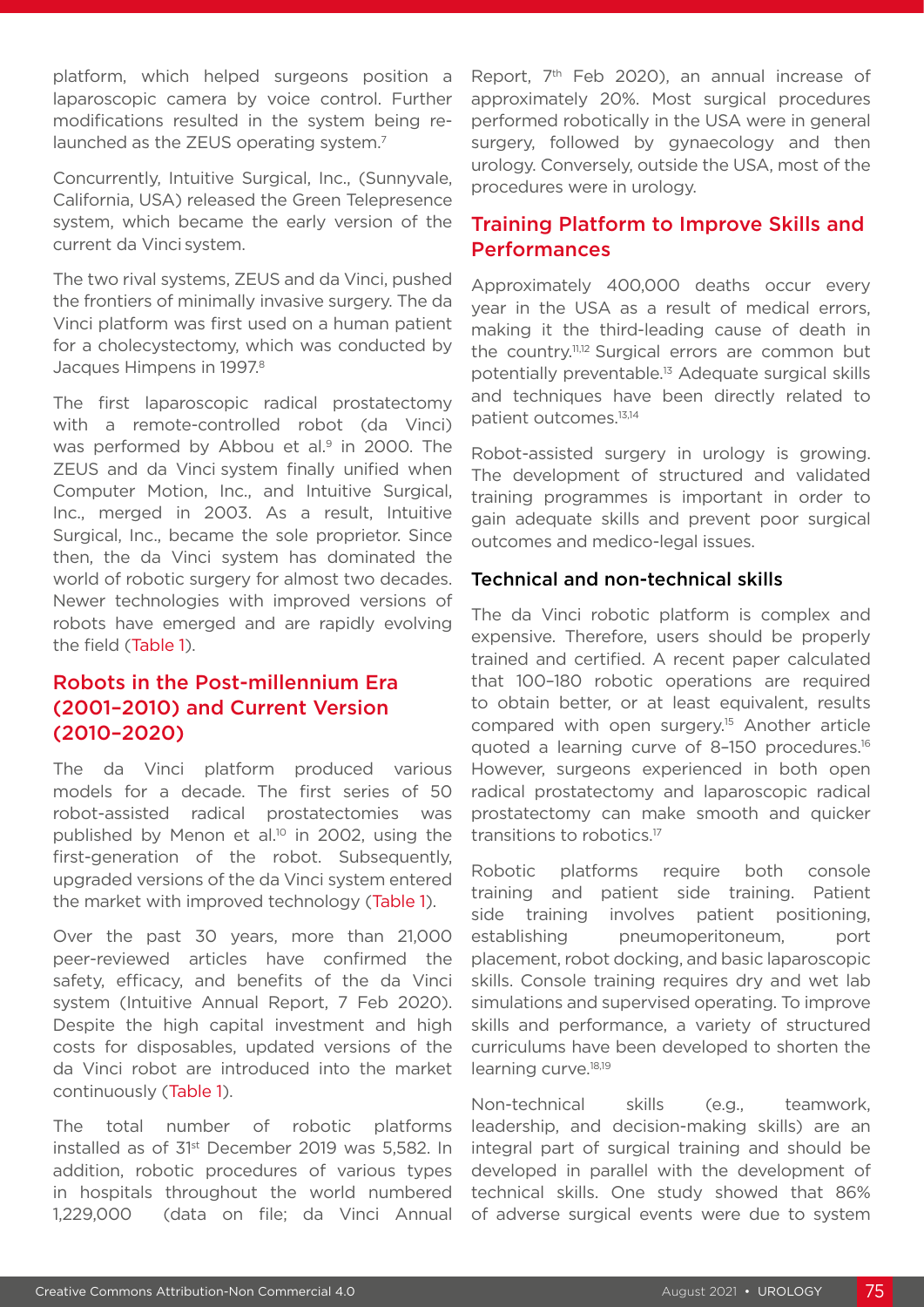platform, which helped surgeons position a laparoscopic camera by voice control. Further modifications resulted in the system being relaunched as the ZEUS operating system.<sup>7</sup>

Concurrently, Intuitive Surgical, Inc., (Sunnyvale, California, USA) released the Green Telepresence system, which became the early version of the current da Vinci system.

The two rival systems, ZEUS and da Vinci, pushed the frontiers of minimally invasive surgery. The da Vinci platform was first used on a human patient for a cholecystectomy, which was conducted by Jacques Himpens in 1997.<sup>8</sup>

The first laparoscopic radical prostatectomy with a remote-controlled robot (da Vinci) was performed by Abbou et al.<sup>9</sup> in 2000. The ZEUS and da Vinci system finally unified when Computer Motion, Inc., and Intuitive Surgical, Inc., merged in 2003. As a result, Intuitive Surgical, Inc., became the sole proprietor. Since then, the da Vinci system has dominated the world of robotic surgery for almost two decades. Newer technologies with improved versions of robots have emerged and are rapidly evolving the field (Table 1).

# Robots in the Post-millennium Era (2001–2010) and Current Version (2010–2020)

The da Vinci platform produced various models for a decade. The first series of 50 robot-assisted radical prostatectomies was published by Menon et al.<sup>10</sup> in 2002, using the first-generation of the robot. Subsequently, upgraded versions of the da Vinci system entered the market with improved technology (Table 1).

Over the past 30 years, more than 21,000 peer-reviewed articles have confirmed the safety, efficacy, and benefits of the da Vinci system (Intuitive Annual Report, 7 Feb 2020). Despite the high capital investment and high costs for disposables, updated versions of the da Vinci robot are introduced into the market continuously (Table 1).

The total number of robotic platforms installed as of 31st December 2019 was 5,582. In addition, robotic procedures of various types in hospitals throughout the world numbered 1,229,000 (data on file; da Vinci Annual Report, 7th Feb 2020), an annual increase of approximately 20%. Most surgical procedures performed robotically in the USA were in general surgery, followed by gynaecology and then urology. Conversely, outside the USA, most of the procedures were in urology.

# Training Platform to Improve Skills and Performances

Approximately 400,000 deaths occur every year in the USA as a result of medical errors, making it the third-leading cause of death in the country.11,12 Surgical errors are common but potentially preventable.13 Adequate surgical skills and techniques have been directly related to patient outcomes.13,14

Robot-assisted surgery in urology is growing. The development of structured and validated training programmes is important in order to gain adequate skills and prevent poor surgical outcomes and medico-legal issues.

### Technical and non-technical skills

The da Vinci robotic platform is complex and expensive. Therefore, users should be properly trained and certified. A recent paper calculated that 100–180 robotic operations are required to obtain better, or at least equivalent, results compared with open surgery.15 Another article quoted a learning curve of 8–150 procedures.16 However, surgeons experienced in both open radical prostatectomy and laparoscopic radical prostatectomy can make smooth and quicker transitions to robotics.17

Robotic platforms require both console training and patient side training. Patient side training involves patient positioning, establishing pneumoperitoneum, port placement, robot docking, and basic laparoscopic skills. Console training requires dry and wet lab simulations and supervised operating. To improve skills and performance, a variety of structured curriculums have been developed to shorten the learning curve.<sup>18,19</sup>

Non-technical skills (e.g., teamwork, leadership, and decision-making skills) are an integral part of surgical training and should be developed in parallel with the development of technical skills. One study showed that 86% of adverse surgical events were due to system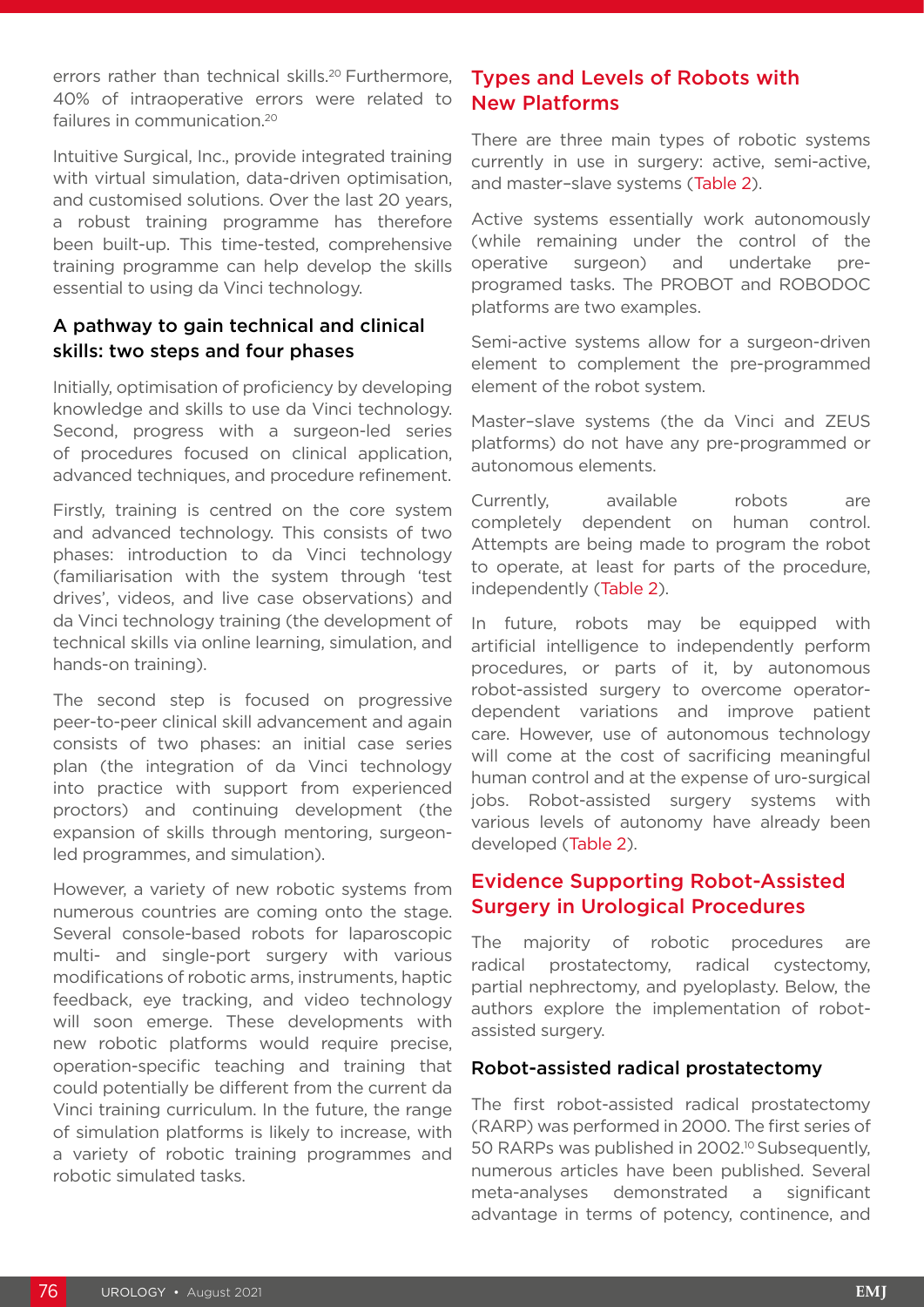errors rather than technical skills.<sup>20</sup> Furthermore, 40% of intraoperative errors were related to failures in communication.20

Intuitive Surgical, Inc., provide integrated training with virtual simulation, data-driven optimisation, and customised solutions. Over the last 20 years, a robust training programme has therefore been built-up. This time-tested, comprehensive training programme can help develop the skills essential to using da Vinci technology.

# A pathway to gain technical and clinical skills: two steps and four phases

Initially, optimisation of proficiency by developing knowledge and skills to use da Vinci technology. Second, progress with a surgeon-led series of procedures focused on clinical application, advanced techniques, and procedure refinement.

Firstly, training is centred on the core system and advanced technology. This consists of two phases: introduction to da Vinci technology (familiarisation with the system through 'test drives', videos, and live case observations) and da Vinci technology training (the development of technical skills via online learning, simulation, and hands-on training).

The second step is focused on progressive peer-to-peer clinical skill advancement and again consists of two phases: an initial case series plan (the integration of da Vinci technology into practice with support from experienced proctors) and continuing development (the expansion of skills through mentoring, surgeonled programmes, and simulation).

However, a variety of new robotic systems from numerous countries are coming onto the stage. Several console-based robots for laparoscopic multi- and single-port surgery with various modifications of robotic arms, instruments, haptic feedback, eye tracking, and video technology will soon emerge. These developments with new robotic platforms would require precise, operation-specific teaching and training that could potentially be different from the current da Vinci training curriculum. In the future, the range of simulation platforms is likely to increase, with a variety of robotic training programmes and robotic simulated tasks.

# Types and Levels of Robots with New Platforms

There are three main types of robotic systems currently in use in surgery: active, semi-active, and master–slave systems (Table 2).

Active systems essentially work autonomously (while remaining under the control of the operative surgeon) and undertake preprogramed tasks. The PROBOT and ROBODOC platforms are two examples.

Semi-active systems allow for a surgeon-driven element to complement the pre-programmed element of the robot system.

Master–slave systems (the da Vinci and ZEUS platforms) do not have any pre-programmed or autonomous elements.

Currently, available robots are completely dependent on human control. Attempts are being made to program the robot to operate, at least for parts of the procedure, independently (Table 2).

In future, robots may be equipped with artificial intelligence to independently perform procedures, or parts of it, by autonomous robot-assisted surgery to overcome operatordependent variations and improve patient care. However, use of autonomous technology will come at the cost of sacrificing meaningful human control and at the expense of uro-surgical jobs. Robot-assisted surgery systems with various levels of autonomy have already been developed (Table 2).

# Evidence Supporting Robot-Assisted Surgery in Urological Procedures

The majority of robotic procedures are radical prostatectomy, radical cystectomy, partial nephrectomy, and pyeloplasty. Below, the authors explore the implementation of robotassisted surgery.

### Robot-assisted radical prostatectomy

The first robot-assisted radical prostatectomy (RARP) was performed in 2000. The first series of 50 RARPs was published in 2002.<sup>10</sup> Subsequently, numerous articles have been published. Several meta-analyses demonstrated a significant advantage in terms of potency, continence, and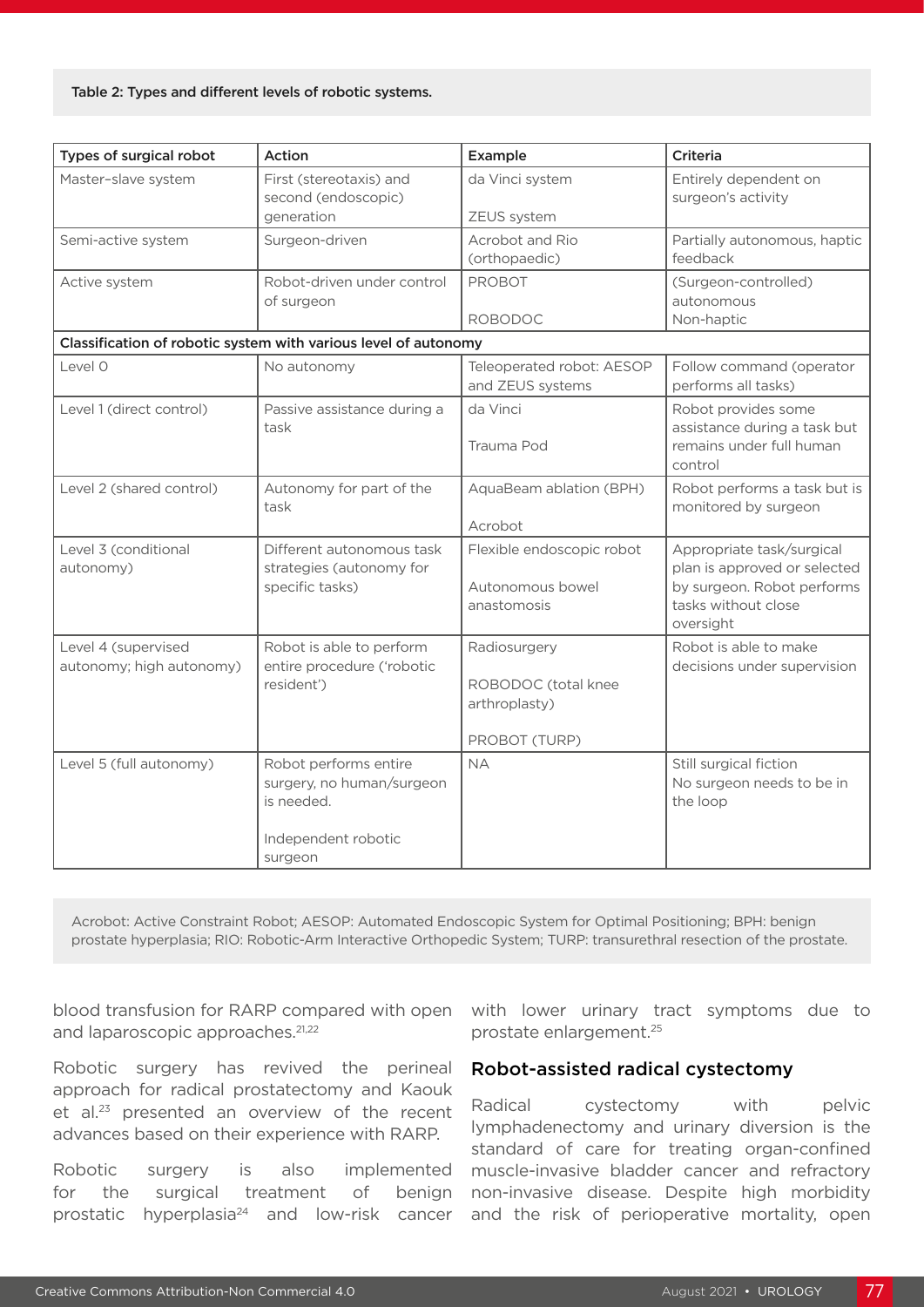#### Table 2: Types and different levels of robotic systems.

| Types of surgical robot                         | Action                                                                                             | Example                                                               | <b>Criteria</b>                                                                                                             |
|-------------------------------------------------|----------------------------------------------------------------------------------------------------|-----------------------------------------------------------------------|-----------------------------------------------------------------------------------------------------------------------------|
| Master-slave system                             | First (stereotaxis) and<br>second (endoscopic)<br>generation                                       | da Vinci system<br>ZEUS system                                        | Entirely dependent on<br>surgeon's activity                                                                                 |
| Semi-active system                              | Surgeon-driven                                                                                     | Acrobot and Rio<br>(orthopaedic)                                      | Partially autonomous, haptic<br>feedback                                                                                    |
| Active system                                   | Robot-driven under control<br>of surgeon                                                           | <b>PROBOT</b><br><b>ROBODOC</b>                                       | (Surgeon-controlled)<br>autonomous<br>Non-haptic                                                                            |
|                                                 | Classification of robotic system with various level of autonomy                                    |                                                                       |                                                                                                                             |
| Level 0                                         | No autonomy                                                                                        | Teleoperated robot: AESOP<br>and ZEUS systems                         | Follow command (operator<br>performs all tasks)                                                                             |
| Level 1 (direct control)                        | Passive assistance during a<br>task                                                                | da Vinci<br>Trauma Pod                                                | Robot provides some<br>assistance during a task but<br>remains under full human<br>control                                  |
| Level 2 (shared control)                        | Autonomy for part of the<br>task                                                                   | AquaBeam ablation (BPH)<br>Acrobot                                    | Robot performs a task but is<br>monitored by surgeon                                                                        |
| Level 3 (conditional<br>autonomy)               | Different autonomous task<br>strategies (autonomy for<br>specific tasks)                           | Flexible endoscopic robot<br>Autonomous bowel<br>anastomosis          | Appropriate task/surgical<br>plan is approved or selected<br>by surgeon. Robot performs<br>tasks without close<br>oversight |
| Level 4 (supervised<br>autonomy; high autonomy) | Robot is able to perform<br>entire procedure ('robotic<br>resident')                               | Radiosurgery<br>ROBODOC (total knee<br>arthroplasty)<br>PROBOT (TURP) | Robot is able to make<br>decisions under supervision                                                                        |
| Level 5 (full autonomy)                         | Robot performs entire<br>surgery, no human/surgeon<br>is needed.<br>Independent robotic<br>surgeon | <b>NA</b>                                                             | Still surgical fiction<br>No surgeon needs to be in<br>the loop                                                             |

Acrobot: Active Constraint Robot; AESOP: Automated Endoscopic System for Optimal Positioning; BPH: benign prostate hyperplasia; RIO: Robotic-Arm Interactive Orthopedic System; TURP: transurethral resection of the prostate.

blood transfusion for RARP compared with open and laparoscopic approaches.<sup>21,22</sup>

Robotic surgery has revived the perineal approach for radical prostatectomy and Kaouk et al.<sup>23</sup> presented an overview of the recent advances based on their experience with RARP.

Robotic surgery is also implemented for the surgical treatment of benign prostatic hyperplasia24 and low-risk cancer

with lower urinary tract symptoms due to prostate enlargement.25

### Robot-assisted radical cystectomy

Radical cystectomy with pelvic lymphadenectomy and urinary diversion is the standard of care for treating organ-confined muscle-invasive bladder cancer and refractory non-invasive disease. Despite high morbidity and the risk of perioperative mortality, open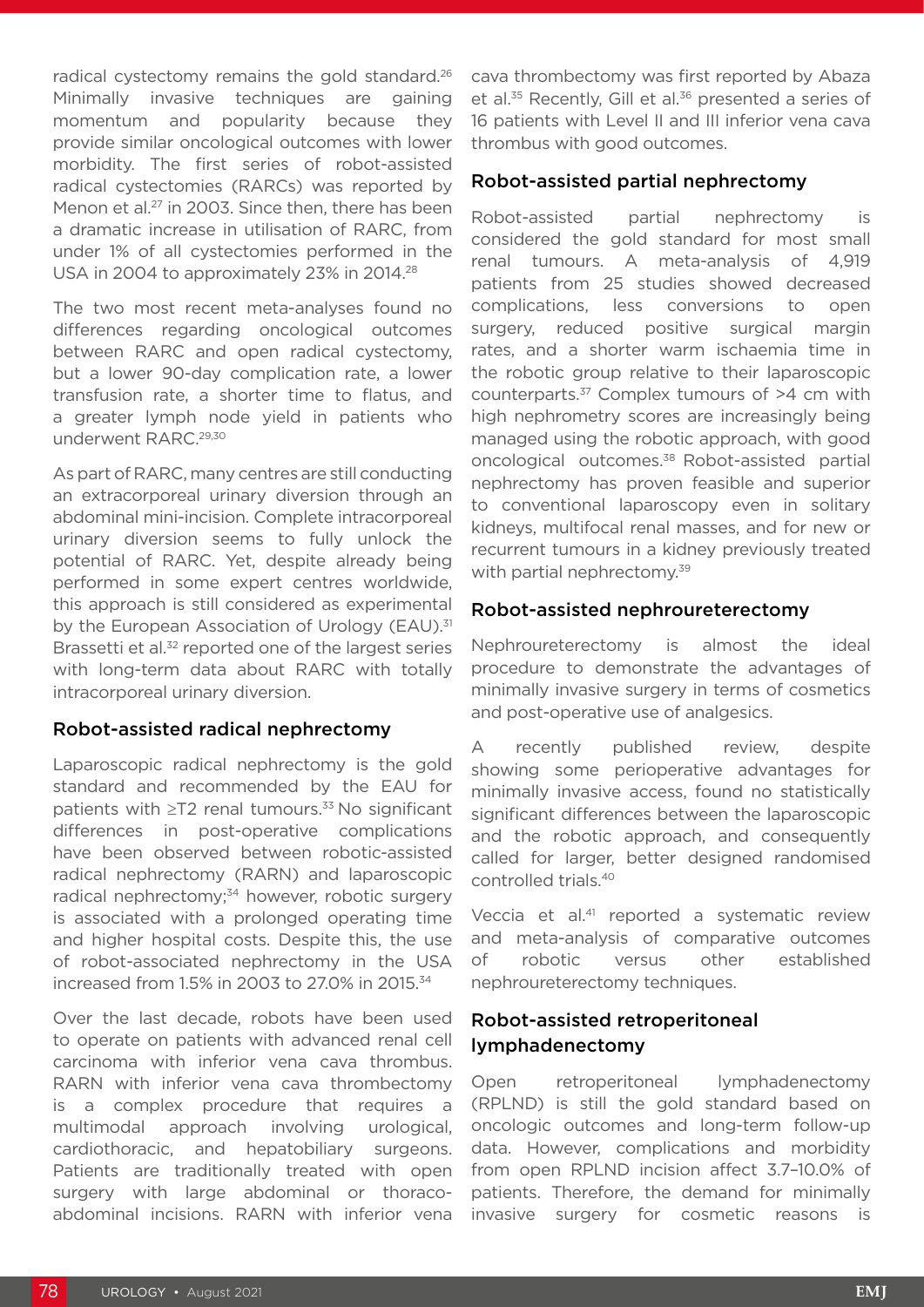radical cystectomy remains the gold standard.<sup>26</sup> Minimally invasive techniques are gaining momentum and popularity because they provide similar oncological outcomes with lower morbidity. The first series of robot-assisted radical cystectomies (RARCs) was reported by Menon et al.<sup>27</sup> in 2003. Since then, there has been a dramatic increase in utilisation of RARC, from under 1% of all cystectomies performed in the USA in 2004 to approximately 23% in 2014.<sup>28</sup>

The two most recent meta-analyses found no differences regarding oncological outcomes between RARC and open radical cystectomy, but a lower 90-day complication rate, a lower transfusion rate, a shorter time to flatus, and a greater lymph node yield in patients who underwent RARC.29,30

As part of RARC, many centres are still conducting an extracorporeal urinary diversion through an abdominal mini-incision. Complete intracorporeal urinary diversion seems to fully unlock the potential of RARC. Yet, despite already being performed in some expert centres worldwide, this approach is still considered as experimental by the European Association of Urology (EAU).<sup>31</sup> Brassetti et al.<sup>32</sup> reported one of the largest series with long-term data about RARC with totally intracorporeal urinary diversion.

### Robot-assisted radical nephrectomy

Laparoscopic radical nephrectomy is the gold standard and recommended by the EAU for patients with  $\geq$ T2 renal tumours.<sup>33</sup> No significant differences in post-operative complications have been observed between robotic-assisted radical nephrectomy (RARN) and laparoscopic radical nephrectomy;<sup>34</sup> however, robotic surgery is associated with a prolonged operating time and higher hospital costs. Despite this, the use of robot-associated nephrectomy in the USA increased from 1.5% in 2003 to 27.0% in 2015.34

Over the last decade, robots have been used to operate on patients with advanced renal cell carcinoma with inferior vena cava thrombus. RARN with inferior vena cava thrombectomy is a complex procedure that requires a multimodal approach involving urological, cardiothoracic, and hepatobiliary surgeons. Patients are traditionally treated with open surgery with large abdominal or thoracoabdominal incisions. RARN with inferior vena

cava thrombectomy was first reported by Abaza et al.<sup>35</sup> Recently, Gill et al.<sup>36</sup> presented a series of 16 patients with Level II and III inferior vena cava thrombus with good outcomes.

### Robot-assisted partial nephrectomy

Robot-assisted partial nephrectomy is considered the gold standard for most small renal tumours. A meta-analysis of 4,919 patients from 25 studies showed decreased complications, less conversions to open surgery, reduced positive surgical margin rates, and a shorter warm ischaemia time in the robotic group relative to their laparoscopic counterparts.37 Complex tumours of >4 cm with high nephrometry scores are increasingly being managed using the robotic approach, with good oncological outcomes.38 Robot-assisted partial nephrectomy has proven feasible and superior to conventional laparoscopy even in solitary kidneys, multifocal renal masses, and for new or recurrent tumours in a kidney previously treated with partial nephrectomy.<sup>39</sup>

### Robot-assisted nephroureterectomy

Nephroureterectomy is almost the ideal procedure to demonstrate the advantages of minimally invasive surgery in terms of cosmetics and post-operative use of analgesics.

A recently published review, despite showing some perioperative advantages for minimally invasive access, found no statistically significant differences between the laparoscopic and the robotic approach, and consequently called for larger, better designed randomised controlled trials.40

Veccia et al.<sup>41</sup> reported a systematic review and meta-analysis of comparative outcomes of robotic versus other established nephroureterectomy techniques.

# Robot-assisted retroperitoneal lymphadenectomy

Open retroperitoneal lymphadenectomy (RPLND) is still the gold standard based on oncologic outcomes and long-term follow-up data. However, complications and morbidity from open RPLND incision affect 3.7–10.0% of patients. Therefore, the demand for minimally invasive surgery for cosmetic reasons is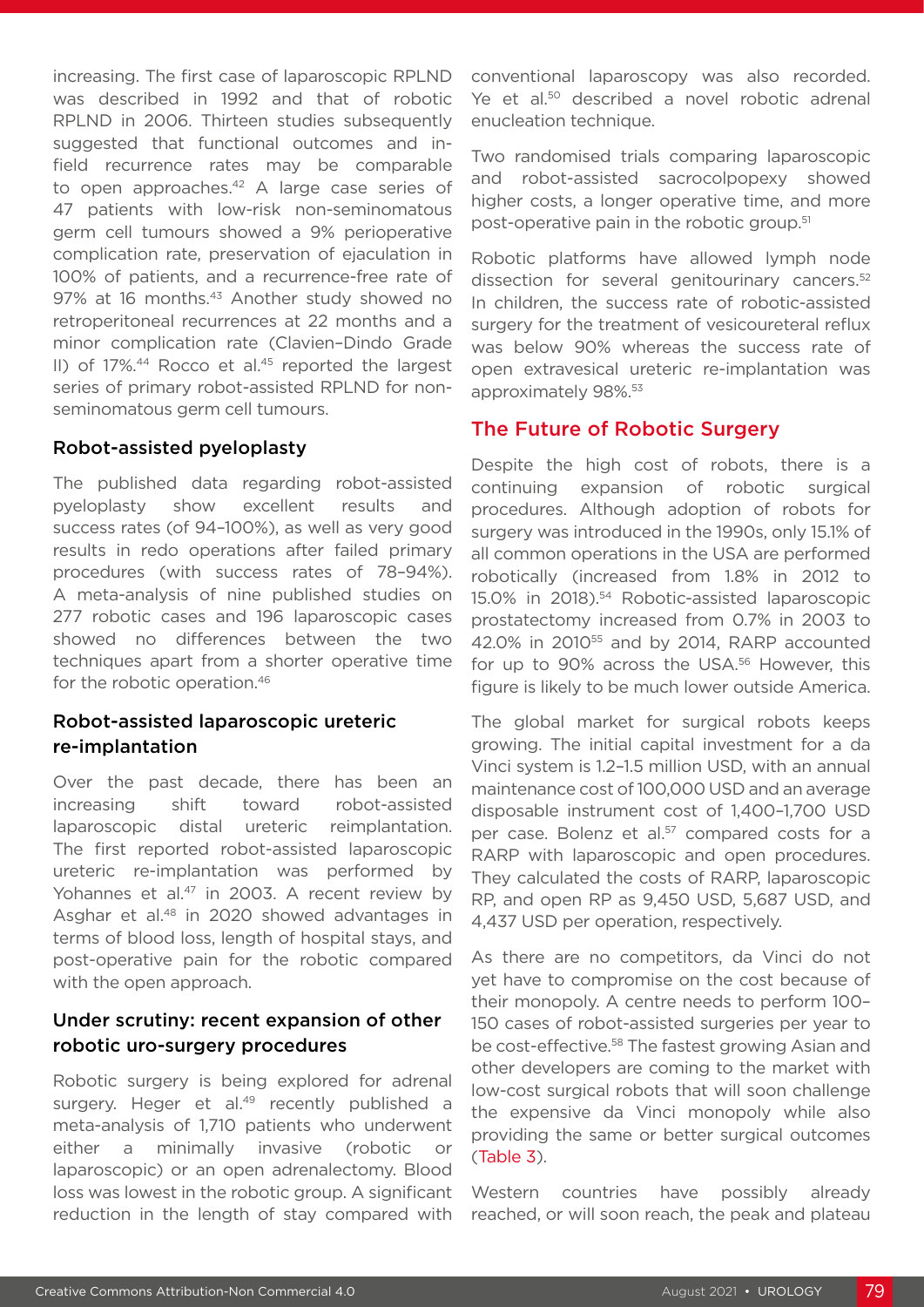increasing. The first case of laparoscopic RPLND was described in 1992 and that of robotic RPLND in 2006. Thirteen studies subsequently suggested that functional outcomes and infield recurrence rates may be comparable to open approaches.<sup>42</sup> A large case series of 47 patients with low-risk non-seminomatous germ cell tumours showed a 9% perioperative complication rate, preservation of ejaculation in 100% of patients, and a recurrence-free rate of 97% at 16 months.<sup>43</sup> Another study showed no retroperitoneal recurrences at 22 months and a minor complication rate (Clavien–Dindo Grade II) of 17%.<sup>44</sup> Rocco et al.<sup>45</sup> reported the largest series of primary robot-assisted RPLND for nonseminomatous germ cell tumours.

### Robot-assisted pyeloplasty

The published data regarding robot-assisted pyeloplasty show excellent results and success rates (of 94–100%), as well as very good results in redo operations after failed primary procedures (with success rates of 78–94%). A meta-analysis of nine published studies on 277 robotic cases and 196 laparoscopic cases showed no differences between the two techniques apart from a shorter operative time for the robotic operation.46

# Robot-assisted laparoscopic ureteric re-implantation

Over the past decade, there has been an increasing shift toward robot-assisted laparoscopic distal ureteric reimplantation. The first reported robot-assisted laparoscopic ureteric re-implantation was performed by Yohannes et al.<sup>47</sup> in 2003. A recent review by Asghar et al.<sup>48</sup> in 2020 showed advantages in terms of blood loss, length of hospital stays, and post-operative pain for the robotic compared with the open approach.

# Under scrutiny: recent expansion of other robotic uro-surgery procedures

Robotic surgery is being explored for adrenal surgery. Heger et al.<sup>49</sup> recently published a meta-analysis of 1,710 patients who underwent either a minimally invasive (robotic or laparoscopic) or an open adrenalectomy. Blood loss was lowest in the robotic group. A significant reduction in the length of stay compared with conventional laparoscopy was also recorded. Ye et al.<sup>50</sup> described a novel robotic adrenal enucleation technique.

Two randomised trials comparing laparoscopic and robot-assisted sacrocolpopexy showed higher costs, a longer operative time, and more post-operative pain in the robotic group.<sup>51</sup>

Robotic platforms have allowed lymph node dissection for several genitourinary cancers.<sup>52</sup> In children, the success rate of robotic-assisted surgery for the treatment of vesicoureteral reflux was below 90% whereas the success rate of open extravesical ureteric re-implantation was approximately 98%.53

### The Future of Robotic Surgery

Despite the high cost of robots, there is a continuing expansion of robotic surgical procedures. Although adoption of robots for surgery was introduced in the 1990s, only 15.1% of all common operations in the USA are performed robotically (increased from 1.8% in 2012 to 15.0% in 2018).54 Robotic-assisted laparoscopic prostatectomy increased from 0.7% in 2003 to 42.0% in 201055 and by 2014, RARP accounted for up to 90% across the USA.<sup>56</sup> However, this figure is likely to be much lower outside America.

The global market for surgical robots keeps growing. The initial capital investment for a da Vinci system is 1.2–1.5 million USD, with an annual maintenance cost of 100,000 USD and an average disposable instrument cost of 1,400–1,700 USD per case. Bolenz et al.<sup>57</sup> compared costs for a RARP with laparoscopic and open procedures. They calculated the costs of RARP, laparoscopic RP, and open RP as 9,450 USD, 5,687 USD, and 4,437 USD per operation, respectively.

As there are no competitors, da Vinci do not yet have to compromise on the cost because of their monopoly. A centre needs to perform 100– 150 cases of robot-assisted surgeries per year to be cost-effective.<sup>58</sup> The fastest growing Asian and other developers are coming to the market with low-cost surgical robots that will soon challenge the expensive da Vinci monopoly while also providing the same or better surgical outcomes (Table 3).

Western countries have possibly already reached, or will soon reach, the peak and plateau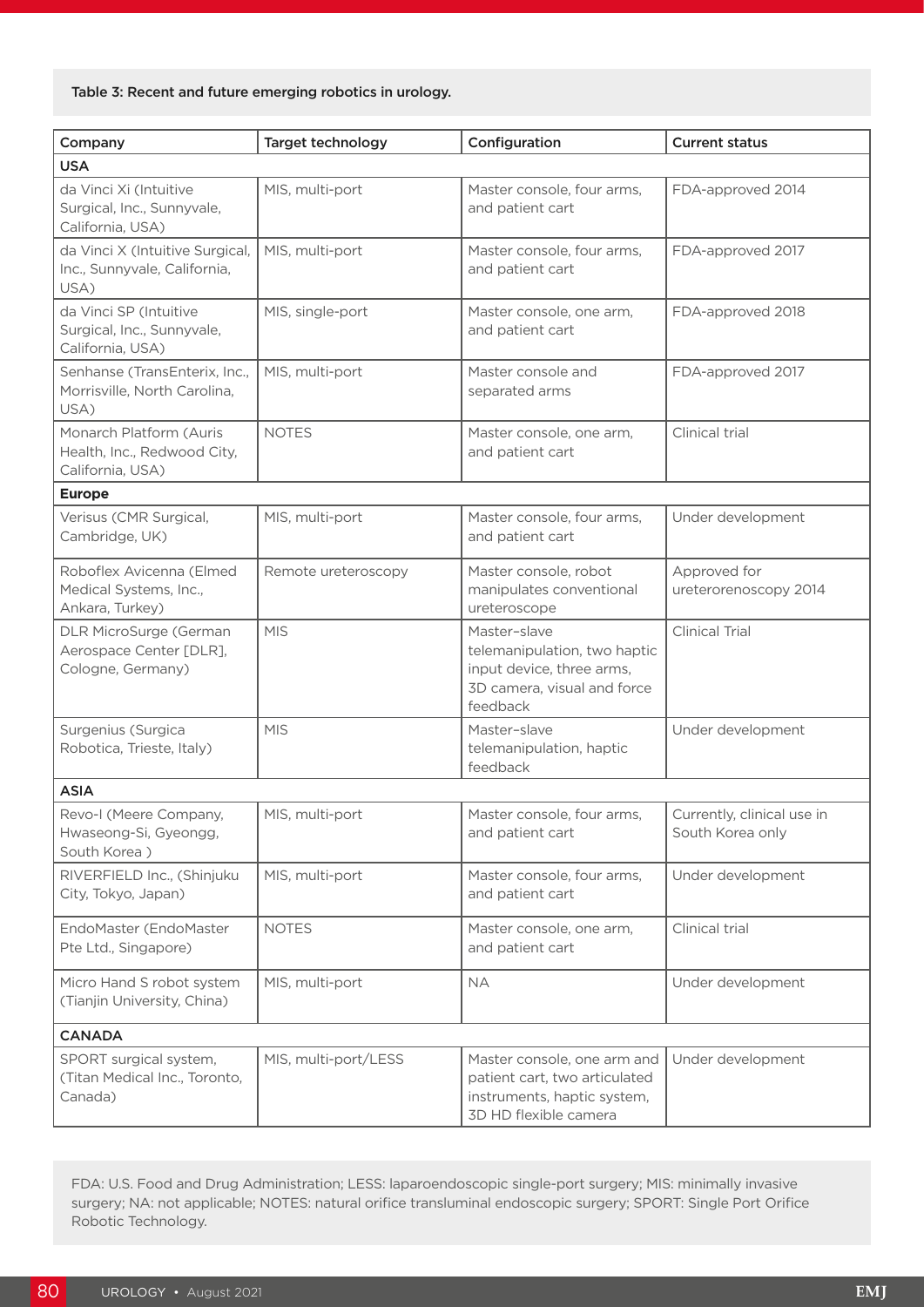#### Table 3: Recent and future emerging robotics in urology.

| Company                                                                    | Target technology    | Configuration                                                                                                        | <b>Current status</b>                          |  |  |
|----------------------------------------------------------------------------|----------------------|----------------------------------------------------------------------------------------------------------------------|------------------------------------------------|--|--|
| <b>USA</b>                                                                 |                      |                                                                                                                      |                                                |  |  |
| da Vinci Xi (Intuitive<br>Surgical, Inc., Sunnyvale,<br>California, USA)   | MIS, multi-port      | Master console, four arms,<br>and patient cart                                                                       | FDA-approved 2014                              |  |  |
| da Vinci X (Intuitive Surgical,<br>Inc., Sunnyvale, California,<br>USA)    | MIS, multi-port      | Master console, four arms,<br>and patient cart                                                                       | FDA-approved 2017                              |  |  |
| da Vinci SP (Intuitive<br>Surgical, Inc., Sunnyvale,<br>California, USA)   | MIS, single-port     | Master console, one arm,<br>and patient cart                                                                         | FDA-approved 2018                              |  |  |
| Senhanse (TransEnterix, Inc.,<br>Morrisville, North Carolina,<br>USA)      | MIS, multi-port      | Master console and<br>separated arms                                                                                 | FDA-approved 2017                              |  |  |
| Monarch Platform (Auris<br>Health, Inc., Redwood City,<br>California, USA) | <b>NOTES</b>         | Master console, one arm,<br>and patient cart                                                                         | Clinical trial                                 |  |  |
| <b>Europe</b>                                                              |                      |                                                                                                                      |                                                |  |  |
| Verisus (CMR Surgical,<br>Cambridge, UK)                                   | MIS, multi-port      | Master console, four arms,<br>and patient cart                                                                       | Under development                              |  |  |
| Roboflex Avicenna (Elmed<br>Medical Systems, Inc.,<br>Ankara, Turkey)      | Remote ureteroscopy  | Master console, robot<br>manipulates conventional<br>ureteroscope                                                    | Approved for<br>ureterorenoscopy 2014          |  |  |
| DLR MicroSurge (German<br>Aerospace Center [DLR],<br>Cologne, Germany)     | <b>MIS</b>           | Master-slave<br>telemanipulation, two haptic<br>input device, three arms,<br>3D camera, visual and force<br>feedback | <b>Clinical Trial</b>                          |  |  |
| Surgenius (Surgica<br>Robotica, Trieste, Italy)                            | <b>MIS</b>           | Master-slave<br>telemanipulation, haptic<br>feedback                                                                 | Under development                              |  |  |
| <b>ASIA</b>                                                                |                      |                                                                                                                      |                                                |  |  |
| Revo-I (Meere Company,<br>Hwaseong-Si, Gyeongg,<br>South Korea)            | MIS, multi-port      | Master console, four arms,<br>and patient cart                                                                       | Currently, clinical use in<br>South Korea only |  |  |
| RIVERFIELD Inc., (Shinjuku<br>City, Tokyo, Japan)                          | MIS, multi-port      | Master console, four arms,<br>and patient cart                                                                       | Under development                              |  |  |
| EndoMaster (EndoMaster<br>Pte Ltd., Singapore)                             | <b>NOTES</b>         | Master console, one arm,<br>and patient cart                                                                         | Clinical trial                                 |  |  |
| Micro Hand S robot system<br>(Tianjin University, China)                   | MIS, multi-port      | <b>NA</b>                                                                                                            | Under development                              |  |  |
| <b>CANADA</b>                                                              |                      |                                                                                                                      |                                                |  |  |
| SPORT surgical system,<br>(Titan Medical Inc., Toronto,<br>Canada)         | MIS, multi-port/LESS | Master console, one arm and<br>patient cart, two articulated<br>instruments, haptic system,<br>3D HD flexible camera | Under development                              |  |  |

FDA: U.S. Food and Drug Administration; LESS: laparoendoscopic single-port surgery; MIS: minimally invasive surgery; NA: not applicable; NOTES: natural orifice transluminal endoscopic surgery; SPORT: Single Port Orifice Robotic Technology.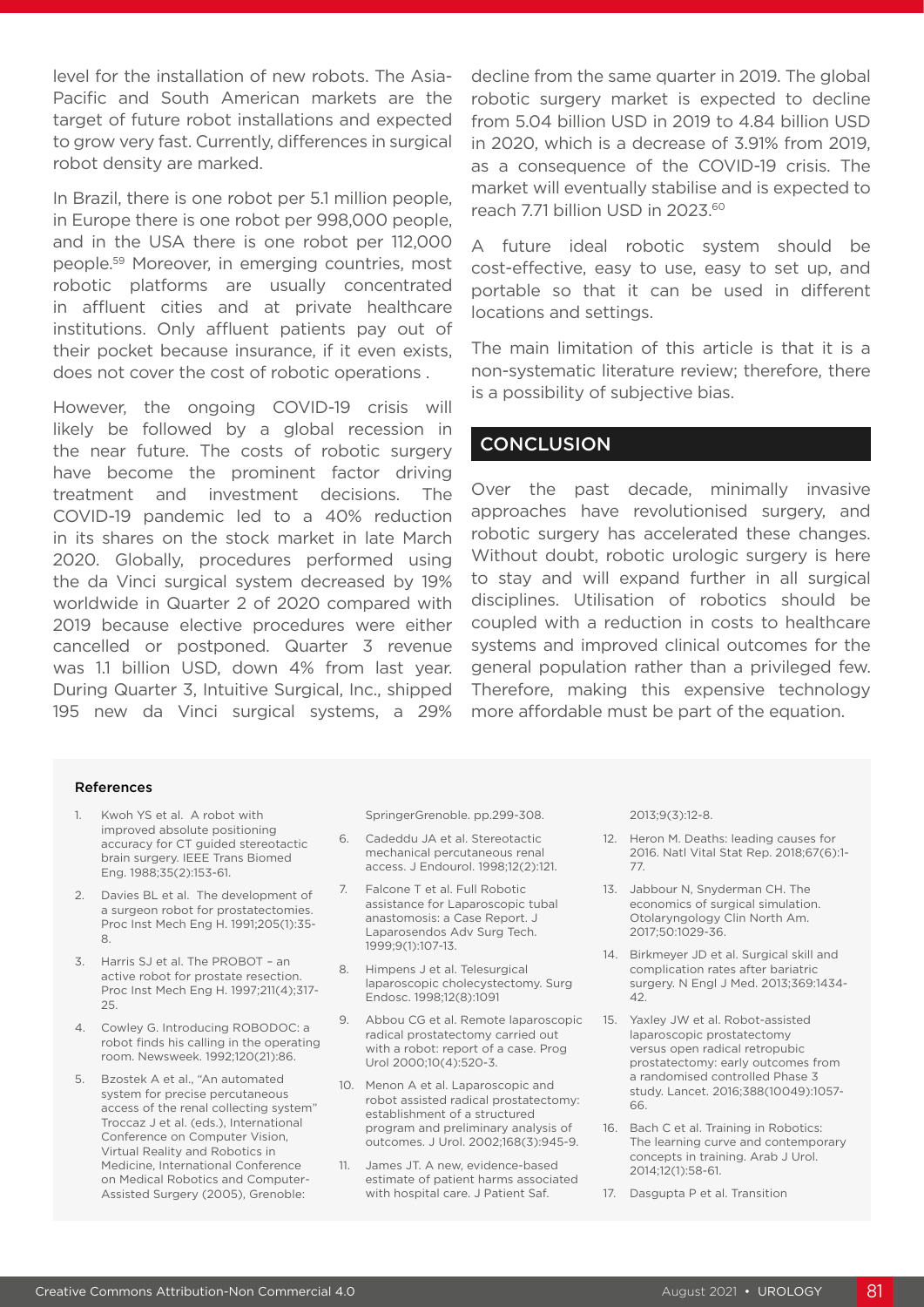level for the installation of new robots. The Asia-Pacific and South American markets are the target of future robot installations and expected to grow very fast. Currently, differences in surgical robot density are marked.

In Brazil, there is one robot per 5.1 million people, in Europe there is one robot per 998,000 people, and in the USA there is one robot per 112,000 people.59 Moreover, in emerging countries, most robotic platforms are usually concentrated in affluent cities and at private healthcare institutions. Only affluent patients pay out of their pocket because insurance, if it even exists, does not cover the cost of robotic operations .

However, the ongoing COVID-19 crisis will likely be followed by a global recession in the near future. The costs of robotic surgery have become the prominent factor driving treatment and investment decisions. The COVID-19 pandemic led to a 40% reduction in its shares on the stock market in late March 2020. Globally, procedures performed using the da Vinci surgical system decreased by 19% worldwide in Quarter 2 of 2020 compared with 2019 because elective procedures were either cancelled or postponed. Quarter 3 revenue was 1.1 billion USD, down 4% from last year. During Quarter 3, Intuitive Surgical, Inc., shipped 195 new da Vinci surgical systems, a 29%

decline from the same quarter in 2019. The global robotic surgery market is expected to decline from 5.04 billion USD in 2019 to 4.84 billion USD in 2020, which is a decrease of 3.91% from 2019, as a consequence of the COVID-19 crisis. The market will eventually stabilise and is expected to reach 7.71 billion USD in 2023.60

A future ideal robotic system should be cost-effective, easy to use, easy to set up, and portable so that it can be used in different locations and settings.

The main limitation of this article is that it is a non-systematic literature review; therefore, there is a possibility of subjective bias.

# **CONCLUSION**

Over the past decade, minimally invasive approaches have revolutionised surgery, and robotic surgery has accelerated these changes. Without doubt, robotic urologic surgery is here to stay and will expand further in all surgical disciplines. Utilisation of robotics should be coupled with a reduction in costs to healthcare systems and improved clinical outcomes for the general population rather than a privileged few. Therefore, making this expensive technology more affordable must be part of the equation.

#### References

- 1. Kwoh YS et al. A robot with improved absolute positioning accuracy for CT guided stereotactic brain surgery. IEEE Trans Biomed Eng. 1988;35(2):153-61.
- 2. Davies BL et al. The development of a surgeon robot for prostatectomies. Proc Inst Mech Eng H. 1991;205(1):35- 8.
- 3. Harris SJ et al. The PROBOT an active robot for prostate resection. Proc Inst Mech Eng H. 1997;211(4);317- 25.
- 4. Cowley G. Introducing ROBODOC: a robot finds his calling in the operating room. Newsweek. 1992;120(21):86.
- 5. Bzostek A et al., "An automated system for precise percutaneous access of the renal collecting system" Troccaz J et al. (eds.), International Conference on Computer Vision, Virtual Reality and Robotics in Medicine, International Conference on Medical Robotics and Computer-Assisted Surgery (2005), Grenoble:

SpringerGrenoble. pp.299-308.

- 6. Cadeddu JA et al. Stereotactic mechanical percutaneous renal access. J Endourol. 1998;12(2):121.
- 7. Falcone T et al. Full Robotic assistance for Laparoscopic tubal anastomosis: a Case Report. J Laparosendos Adv Surg Tech. 1999;9(1):107-13.
- 8. Himpens J et al. Telesurgical laparoscopic cholecystectomy. Surg Endosc. 1998;12(8):1091
- 9. Abbou CG et al. Remote laparoscopic radical prostatectomy carried out with a robot: report of a case. Prog Urol 2000;10(4):520-3.
- 10. Menon A et al. Laparoscopic and robot assisted radical prostatectomy: establishment of a structured program and preliminary analysis of outcomes. J Urol. 2002;168(3):945-9.
- 11. James JT. A new, evidence-based estimate of patient harms associated with hospital care. J Patient Saf.

2013;9(3):12-8.

- 12. Heron M. Deaths: leading causes for 2016. Natl Vital Stat Rep. 2018;67(6):1- 77.
- 13. Jabbour N, Snyderman CH. The economics of surgical simulation. Otolaryngology Clin North Am. 2017;50:1029-36.
- 14. Birkmeyer JD et al. Surgical skill and complication rates after bariatric surgery. N Engl J Med. 2013;369:1434- 42.
- 15. Yaxley JW et al. Robot-assisted laparoscopic prostatectomy versus open radical retropubic prostatectomy: early outcomes from a randomised controlled Phase 3 study. Lancet. 2016;388(10049):1057- 66.
- 16. Bach C et al. Training in Robotics: The learning curve and contemporary concepts in training. Arab J Urol. 2014;12(1):58-61.
- 17. Dasgupta P et al. Transition